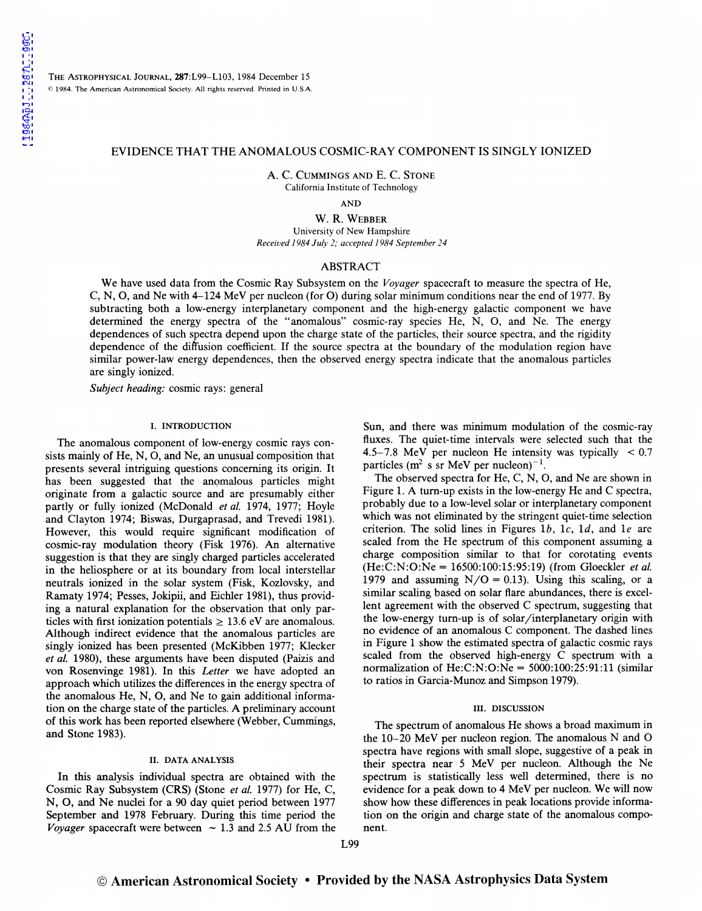THE ASTROPHYSICAL JOURNAL, 287:L99-L103, 1984 December 15 © 1984. The American Astronomical Society. All rights reserved. Printed in U.S.A.

# EVIDENCE THAT THE ANOMALOUS COSMIC-RAY COMPONENT IS SINGLY IONIZED

A. C. CUMMINGS AND E. C. STONE California Institute of Technology

AND

W. R. WEBBER University of New Hampshire *Received 1984 July 2; accepted 1984 September 2 4* 

# ABSTRACT

We have used data from the Cosmic Ray Subsystem on the *Voyager* spacecraft to measure the spectra of He, C, N, 0, and Ne with 4-124 MeV per nucleon (for 0) during solar minimum conditions near the end of 1977. By subtracting both a low-energy interplanetary component and the high-energy galactic component we have determined the energy spectra of the "anomalous" cosmic-ray species He, N, 0, and Ne. The energy dependences of such spectra depend upon the charge state of the particles, their source spectra, and the rigidity dependence of the diffusion coefficient. If the source spectra at the boundary of the modulation region have similar power-law energy dependences, then the observed energy spectra indicate that the anomalous particles are singly ionized.

*Subject heading:* cosmic rays: general

### I. INTRODUCTION

The anomalous component of low-energy cosmic rays consists mainly of He, N, 0, and Ne, an unusual composition that presents several intriguing questions concerning its origin. It has been suggested that the anomalous particles might originate from a galactic source and are presumably either partly or fully ionized (McDonald *et al.* 1974, 1977; Hoyle and Clayton 1974; Biswas, Durgaprasad, and Trevedi 1981). However, this would require significant modification of cosmic-ray modulation theory (Fisk 1976). An alternative suggestion is that they are singly charged particles accelerated in the heliosphere or at its boundary from local interstellar neutrals ionized in the solar system (Fisk, Kozlovsky, and Ramaty 1974; Pesses, Jokipii, and Eichler 1981), thus providing a natural explanation for the observation that only particles with first ionization potentials  $\geq 13.6$  eV are anomalous. Although indirect evidence that the anomalous particles are singly ionized has been presented (McKibben 1977; Klecker *eta/.* 1980), these arguments have been disputed (Paizis and von Rosenvinge 1981). In this *Letter* we have adopted an approach which utilizes the differences in the energy spectra of the anomalous He, N, 0, and Ne to gain additional information on the charge state of the particles. A preliminary account of this work has been reported elsewhere (Webber, Cummings, and Stone 1983).

### II. DATA ANALYSIS

In this analysis individual spectra are obtained with the Cosmic Ray Subsystem (CRS) (Stone *et a/.* 1977) for He, C, N, 0, and Ne nuclei for a 90 day quiet period between 1977 September and 1978 February. During this time period the *Voyager* spacecraft were between  $\sim$  1.3 and 2.5 AU from the Sun, and there was minimum modulation of the cosmic-ray fluxes. The quiet-time intervals were selected such that the 4.5-7.8 MeV per nucleon He intensity was typically  $\leq 0.7$ particles ( $m^2$  s sr MeV per nucleon)<sup>-1</sup>.

The observed spectra for He, C, N, 0, and Ne are shown in Figure 1. A tum-up exists in the low-energy He and C spectra, probably due to a low-level solar or interplanetary component which was not eliminated by the stringent quiet-time selection criterion. The solid lines in Figures 1b, 1c, 1d, and 1e are scaled from the He spectrum of this component assuming a charge composition similar to that for corotating events (He:C:N:O:Ne = 16500:100:15:95:19) (from Gloeckler *eta/.*  1979 and assuming  $N/O = 0.13$ ). Using this scaling, or a similar scaling based on solar flare abundances, there is excellent agreement with the observed C spectrum, suggesting that the low-energy tum-up is of solar/interplanetary origin with no evidence of an anomalous C component. The dashed lines in Figure 1 show the estimated spectra of galactic cosmic rays scaled from the observed high-energy C spectrum with a normalization of He:C:N:O:Ne =  $5000:100:25:91:11$  (similar to ratios in Garcia-Munoz and Simpson 1979).

#### III. DISCUSSION

The spectrum of anomalous He shows a broad maximum in the  $10-20$  MeV per nucleon region. The anomalous N and O spectra have regions with small slope, suggestive of a peak in their spectra near 5 MeV per nucleon. Although the Ne spectrum is statistically less well determined, there is no evidence for a peak down to 4 MeV per nucleon. We will now show how these differences in peak locations provide information on the origin and charge state of the anomalous component.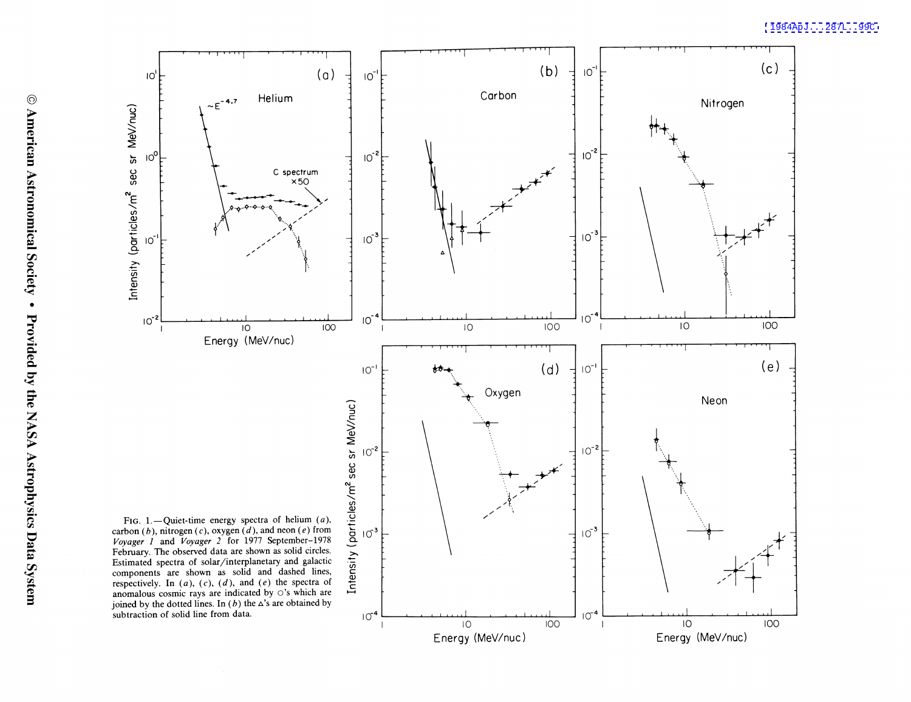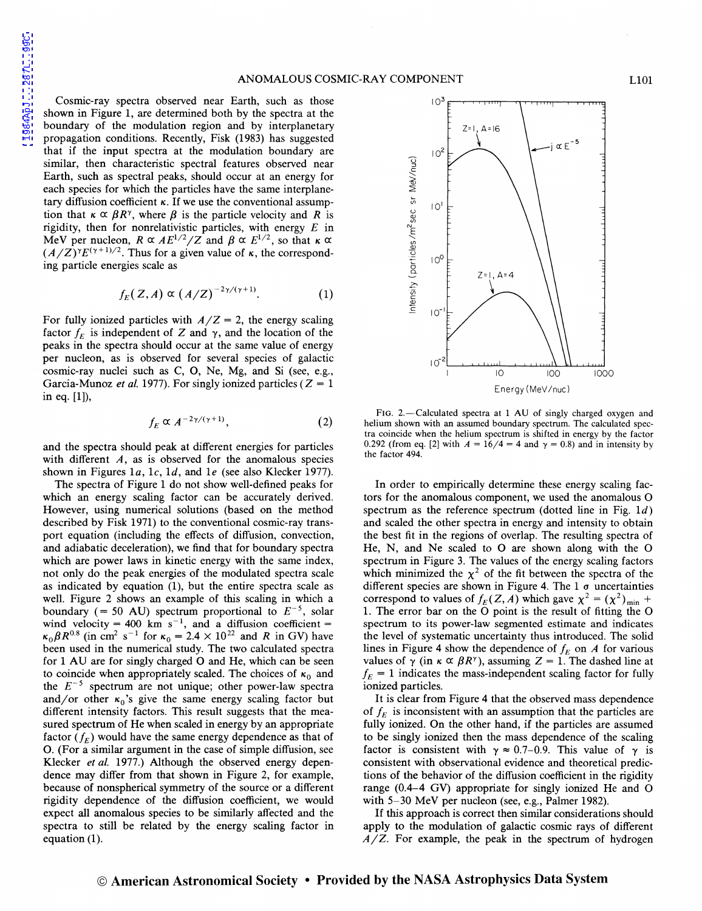Cosmic-ray spectra observed near Earth, such as those shown in Figure 1, are determined both by the spectra at the boundary of the modulation region and by interplanetary propagation conditions. Recently, Fisk (1983) has suggested that if the input spectra at the modulation boundary are similar, then characteristic spectral features observed near Earth, such as spectral peaks, should occur at an energy for each species for which the particles have the same interplanetary diffusion coefficient  $\kappa$ . If we use the conventional assumption that  $\kappa \propto \beta R^{\gamma}$ , where  $\beta$  is the particle velocity and R is rigidity, then for nonrelativistic particles, with energy  $E$  in MeV per nucleon,  $R \propto AE^{1/2}/Z$  and  $\beta \propto E^{1/2}$ , so that  $\kappa \propto$  $(A/Z)^{\gamma}E^{(\gamma+1)/2}$ . Thus for a given value of  $\kappa$ , the corresponding particle energies scale as

$$
f_E(Z,A) \propto (A/Z)^{-2\gamma/(\gamma+1)}.
$$
 (1)

For fully ionized particles with  $A/Z = 2$ , the energy scaling factor  $f_F$  is independent of *Z* and  $\gamma$ , and the location of the peaks in the spectra should occur at the same value of energy per nucleon, as is observed for several species of galactic cosmic-ray nuclei such as C, 0, Ne, Mg, and Si (see, e.g., Garcia-Munoz *et al.* 1977). For singly ionized particles ( $Z = 1$ ) in eq. [1]),

$$
f_E \propto A^{-2\gamma/(\gamma+1)},\tag{2}
$$

and the spectra should peak at different energies for particles with different  $A$ , as is observed for the anomalous species shown in Figures 1a, 1c, 1d, and 1e (see also Klecker 1977).

The spectra of Figure 1 do not show well-defined peaks for which an energy scaling factor can be accurately derived. However, using numerical solutions (based on the method described by Fisk 1971) to the conventional cosmic-ray transport equation (including the effects of diffusion, convection, and adiabatic deceleration), we find that for boundary spectra which are power laws in kinetic energy with the same index, not only do the peak energies of the modulated spectra scale as indicated by equation (1), but the entire spectra scale as well. Figure 2 shows an example of this scaling in which a boundary (= 50 AU) spectrum proportional to  $E^{-5}$ , solar wind velocity = 400 km s<sup>-1</sup>, and a diffusion coefficient =  $\kappa_0 \beta R^{0.8}$  (in cm<sup>2</sup> s<sup>-1</sup> for  $\kappa_0 = 2.4 \times 10^{22}$  and R in GV) have been used in the numerical study. The two calculated spectra for 1 AU are for singly charged 0 and He, which can be seen to coincide when appropriately scaled. The choices of  $\kappa_0$  and the  $E^{-5}$  spectrum are not unique; other power-law spectra and/or other  $\kappa_0$ 's give the same energy scaling factor but different intensity factors. This result suggests that the measured spectrum of He when scaled in energy by an appropriate factor  $(f_E)$  would have the same energy dependence as that of 0. (For a similar argument in the case of simple diffusion, see Klecker *et al.* 1977.) Although the observed energy dependence may differ from that shown in Figure 2, for example, because of nonspherical symmetry of the source or a different rigidity dependence of the diffusion coefficient, we would expect all anomalous species to be similarly affected and the spectra to still be related by the energy scaling factor in equation  $(1)$ .



FIG. 2.-Calculated spectra at 1 AU of singly charged oxygen and helium shown with an assumed boundary spectrum. The calculated spectra coincide when the helium spectrum is shifted in energy by the factor 0.292 (from eq. [2] with  $A = 16/4 = 4$  and  $\gamma = 0.8$ ) and in intensity by the factor 494.

In order to empirically determine these energy scaling factors for the anomalous component, we used the anomalous 0 spectrum as the reference spectrum (dotted line in Fig.  $1d$ ) and scaled the other spectra in energy and intensity to obtain the best fit in the regions of overlap. The resulting spectra of He, N, and Ne scaled to 0 are shown along with the 0 spectrum in Figure 3. The values of the energy scaling factors which minimized the  $\chi^2$  of the fit between the spectra of the different species are shown in Figure 4. The 1 *a* uncertainties correspond to values of  $f_E(Z, A)$  which gave  $\chi^2 = (\chi^2)_{\text{min}} +$ 1. The error bar on the 0 point is the result of fitting the 0 spectrum to its power-law segmented estimate and indicates the level of systematic uncertainty thus introduced. The solid lines in Figure 4 show the dependence of  $f_E$  on  $A$  for various values of  $\gamma$  (in  $\kappa \propto \beta R^{\gamma}$ ), assuming  $Z = 1$ . The dashed line at  $f_E = 1$  indicates the mass-independent scaling factor for fully ionized particles.

It is clear from Figure 4 that the observed mass dependence of  $f_E$  is inconsistent with an assumption that the particles are fully ionized. On the other hand, if the particles are assumed to be singly ionized then the mass dependence of the scaling factor is consistent with  $\gamma \approx 0.7{\text -}0.9$ . This value of  $\gamma$  is consistent with observational evidence and theoretical predictions of the behavior of the diffusion coefficient in the rigidity range (0.4-4 GV) appropriate for singly ionized He and 0 with 5-30 MeV per nucleon (see, e.g., Palmer 1982).

If this approach is correct then similar considerations should apply to the modulation of galactic cosmic rays of different *A/Z.* For example, the peak in the spectrum of hydrogen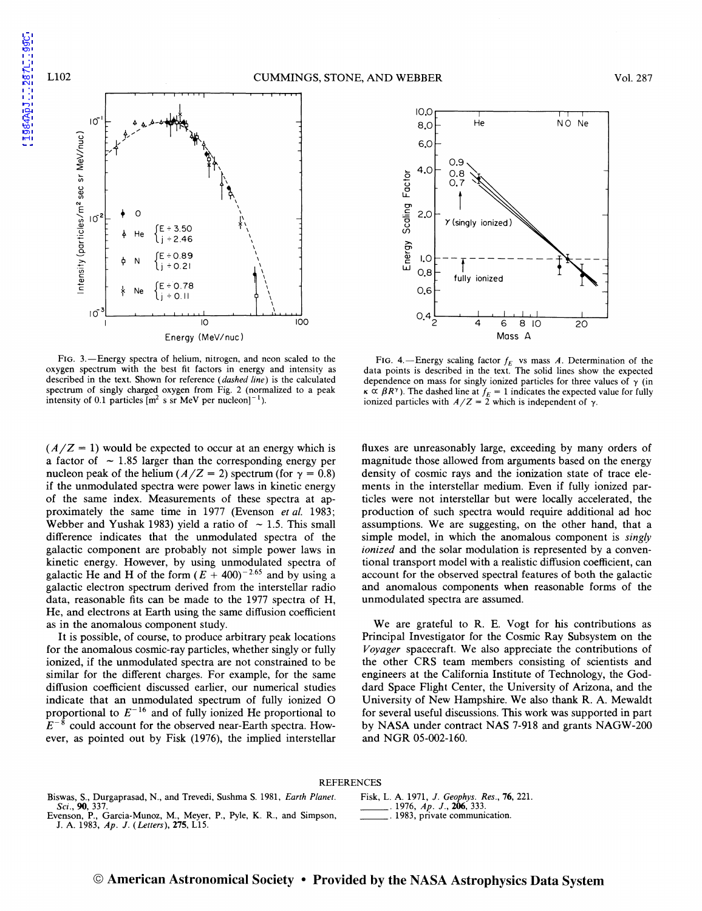

-

-



FIG. 3.—Energy spectra of helium, nitrogen, and neon scaled to the oxygen spectrum with the best fit factors in energy and intensity as described in the text. Shown for reference *(dashed line)* is the calculated spectrum of singly charged oxygen from Fig. 2 (normalized to a peak intensity of 0.1 particles  $[m^2 \text{ s sr MeV}]$  per nucleon $]^{-1}$ ).

 $10^{-3}$ 

 $10$  100 Energy (MeV/nuc)

 $(A/Z = 1)$  would be expected to occur at an energy which is a factor of  $\sim$  1.85 larger than the corresponding energy per nucleon peak of the helium ( $A/Z = 2$ ) spectrum (for  $\gamma = 0.8$ ) if the unmodulated spectra were power laws in kinetic energy of the same index. Measurements of these spectra at approximately the same time in 1977 (Evenson *et a/.* 1983; Webber and Yushak 1983) yield a ratio of  $\sim$  1.5. This small difference indicates that the unmodulated spectra of the galactic component are probably not simple power laws in kinetic energy. However, by using unmodulated spectra of galactic He and H of the form  $(E + 400)^{-2.65}$  and by using a galactic electron spectrum derived from the interstellar radio data, reasonable fits can be made to the 1977 spectra of H, He, and electrons at Earth using the same diffusion coefficient as in the anomalous component study.

It is possible, of course, to produce arbitrary peak locations for the anomalous cosmic-ray particles, whether singly or fully ionized, if the unmodulated spectra are not constrained to be similar for the different charges. For example, for the same diffusion coefficient discussed earlier, our numerical studies indicate that an unmodulated spectrum of fully ionized 0 proportional to  $E^{-16}$  and of fully ionized He proportional to  $E^{-8}$  could account for the observed near-Earth spectra. However, as pointed out by Fisk (1976), the implied interstellar

FIG. 4.-Energy scaling factor  $f_E$  vs mass A. Determination of the data points is described in the text. The solid lines show the expected dependence on mass for singly ionized particles for three values of  $\gamma$  (in  $\kappa \propto \beta R^{\gamma}$ ). The dashed line at  $f_E = 1$  indicates the expected value for fully ionized particles with  $A/Z = 2$  which is independent of  $\gamma$ .

fluxes are unreasonably large, exceeding by many orders of magnitude those allowed from arguments based on the energy density of cosmic rays and the ionization state of trace elements in the interstellar medium. Even if fully ionized particles were not interstellar but were locally accelerated, the production of such spectra would require additional ad hoc assumptions. We are suggesting, on the other hand, that a simple model, in which the anomalous component is *singly ionized* and the solar modulation is represented by a conventional transport model with a realistic diffusion coefficient, can account for the observed spectral features of both the galactic and anomalous components when reasonable forms of the unmodulated spectra are assumed.

We are grateful to R. E. Vogt for his contributions as Principal Investigator for the Cosmic Ray Subsystem on the *Voyager* spacecraft. We also appreciate the contributions of the other CRS team members consisting of scientists and engineers at the California Institute of Technology, the Goddard Space Flight Center, the University of Arizona, and the University of New Hampshire. We also thank R. A. Mewaldt for several useful discussions. This work was supported in part by NASA under contract NAS 7-918 and grants NAGW-200 and NGR 05-002-160.

## REFERENCES

- Biswas, S., Durgaprasad, N., and Trevedi, Sushma S. 1981, *Earth Planet. Sci.,* 90, 337.
- Evenson, P., Garcia-Munoz, M., Meyer, P., Pyle, K. R., and Simpson, J. A. 1983, *Ap.* J. *(Letters),* 275, LlS.

Fisk, L. A. 1971, *J. Geophys. Res.*, **76**, 221.<br>1976, *Ap. J.*, **206**, 333. 1983, private communication.